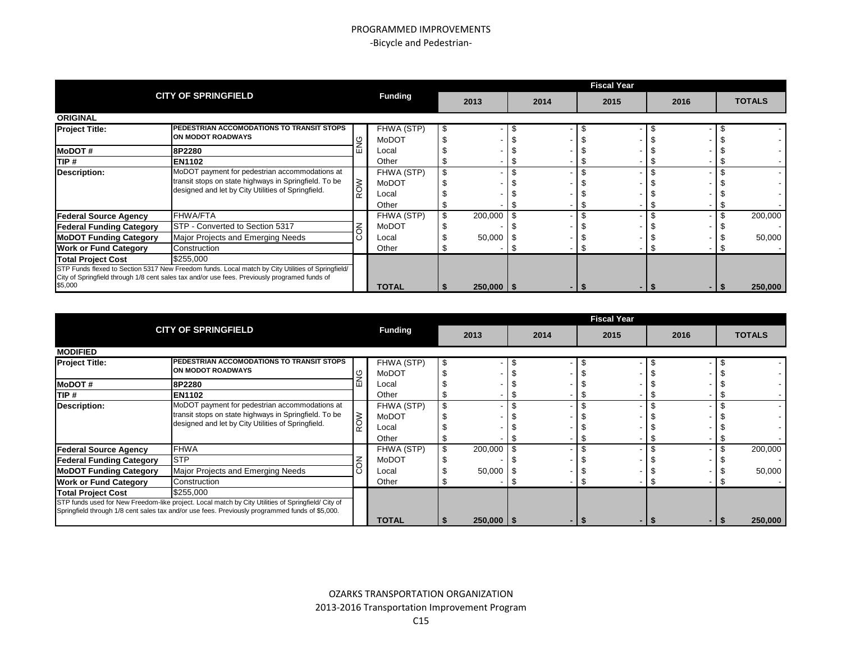### PROGRAMMED IMPROVEMENTS -Bicycle and Pedestrian-

|                                                                                                          |                                                                                                                                                               |         |              |      |                | <b>Fiscal Year</b> |  |      |  |      |  |               |  |  |
|----------------------------------------------------------------------------------------------------------|---------------------------------------------------------------------------------------------------------------------------------------------------------------|---------|--------------|------|----------------|--------------------|--|------|--|------|--|---------------|--|--|
|                                                                                                          | <b>CITY OF SPRINGFIELD</b>                                                                                                                                    | Funding |              | 2013 |                | 2014               |  | 2015 |  | 2016 |  | <b>TOTALS</b> |  |  |
| <b>ORIGINAL</b>                                                                                          |                                                                                                                                                               |         |              |      |                |                    |  |      |  |      |  |               |  |  |
| <b>Project Title:</b>                                                                                    | <b>PEDESTRIAN ACCOMODATIONS TO TRANSIT STOPS</b>                                                                                                              |         | FHWA (STP)   |      |                |                    |  |      |  |      |  |               |  |  |
|                                                                                                          | ON MODOT ROADWAYS                                                                                                                                             |         | MoDOT        |      |                |                    |  |      |  |      |  |               |  |  |
| <b>MoDOT#</b>                                                                                            | 8P2280                                                                                                                                                        |         | Local        |      |                |                    |  |      |  |      |  |               |  |  |
| TIP #                                                                                                    | <b>EN1102</b>                                                                                                                                                 |         | Other        |      |                |                    |  |      |  |      |  |               |  |  |
| Description:                                                                                             | MoDOT payment for pedestrian accommodations at<br>transit stops on state highways in Springfield. To be<br>designed and let by City Utilities of Springfield. |         | FHWA (STP)   |      |                |                    |  |      |  |      |  |               |  |  |
|                                                                                                          |                                                                                                                                                               | ≥       | MoDOT        |      |                |                    |  |      |  |      |  |               |  |  |
|                                                                                                          |                                                                                                                                                               |         | Local        |      |                |                    |  |      |  |      |  |               |  |  |
|                                                                                                          |                                                                                                                                                               |         | Other        |      |                |                    |  |      |  |      |  |               |  |  |
| <b>Federal Source Agency</b>                                                                             | <b>FHWA/FTA</b>                                                                                                                                               |         | FHWA (STP)   |      | 200,000        |                    |  |      |  |      |  | 200,000       |  |  |
| <b>Federal Funding Category</b>                                                                          | STP - Converted to Section 5317                                                                                                                               |         | MoDOT        |      |                |                    |  |      |  |      |  |               |  |  |
| <b>MoDOT Funding Category</b>                                                                            | Major Projects and Emerging Needs                                                                                                                             |         | Local        |      | 50,000         |                    |  |      |  |      |  | 50,000        |  |  |
| <b>Work or Fund Category</b>                                                                             | Construction                                                                                                                                                  |         | Other        |      |                |                    |  |      |  |      |  |               |  |  |
| <b>Total Project Cost</b>                                                                                | \$255,000                                                                                                                                                     |         |              |      |                |                    |  |      |  |      |  |               |  |  |
|                                                                                                          | STP Funds flexed to Section 5317 New Freedom funds. Local match by City Utilities of Springfield/                                                             |         |              |      |                |                    |  |      |  |      |  |               |  |  |
| City of Springfield through 1/8 cent sales tax and/or use fees. Previously programed funds of<br>\$5,000 |                                                                                                                                                               |         |              |      |                |                    |  |      |  |      |  |               |  |  |
|                                                                                                          |                                                                                                                                                               |         | <b>TOTAL</b> |      | $250,000$   \$ |                    |  |      |  |      |  | 250,000       |  |  |

|                                                                                                                                                                                                       |                                                                                                                                                               |   |                              | <b>Fiscal Year</b> |                |  |      |  |      |  |      |  |               |
|-------------------------------------------------------------------------------------------------------------------------------------------------------------------------------------------------------|---------------------------------------------------------------------------------------------------------------------------------------------------------------|---|------------------------------|--------------------|----------------|--|------|--|------|--|------|--|---------------|
|                                                                                                                                                                                                       | <b>CITY OF SPRINGFIELD</b>                                                                                                                                    |   | <b>Funding</b>               |                    | 2013           |  | 2014 |  | 2015 |  | 2016 |  | <b>TOTALS</b> |
| <b>MODIFIED</b>                                                                                                                                                                                       |                                                                                                                                                               |   |                              |                    |                |  |      |  |      |  |      |  |               |
| <b>Project Title:</b>                                                                                                                                                                                 | PEDESTRIAN ACCOMODATIONS TO TRANSIT STOPS<br><b>ON MODOT ROADWAYS</b>                                                                                         |   | FHWA (STP)<br>MoDOT          | \$                 |                |  |      |  |      |  |      |  |               |
| <b>MoDOT#</b>                                                                                                                                                                                         | 8P2280                                                                                                                                                        | Ш | Local                        |                    |                |  |      |  |      |  |      |  |               |
| TIP #                                                                                                                                                                                                 | <b>EN1102</b>                                                                                                                                                 |   | Other                        |                    |                |  |      |  |      |  |      |  |               |
| Description:                                                                                                                                                                                          | MoDOT payment for pedestrian accommodations at<br>transit stops on state highways in Springfield. To be<br>designed and let by City Utilities of Springfield. |   | FHWA (STP)<br>MoDOT<br>Local |                    |                |  |      |  |      |  |      |  |               |
|                                                                                                                                                                                                       |                                                                                                                                                               |   | Other                        |                    |                |  |      |  |      |  |      |  |               |
| <b>Federal Source Agency</b>                                                                                                                                                                          | <b>FHWA</b>                                                                                                                                                   |   | FHWA (STP)                   | \$                 | $200,000$ \ \$ |  |      |  |      |  |      |  | 200,000       |
| <b>Federal Funding Category</b>                                                                                                                                                                       | <b>STP</b>                                                                                                                                                    |   | MoDOT                        |                    |                |  |      |  |      |  |      |  |               |
| <b>MoDOT Funding Category</b>                                                                                                                                                                         | Major Projects and Emerging Needs                                                                                                                             |   | Local                        |                    | $50,000$ \ \$  |  |      |  |      |  |      |  | 50,000        |
| <b>Work or Fund Category</b>                                                                                                                                                                          | <b>Construction</b>                                                                                                                                           |   | Other                        |                    |                |  |      |  |      |  |      |  |               |
| <b>Total Project Cost</b>                                                                                                                                                                             | \$255,000                                                                                                                                                     |   |                              |                    |                |  |      |  |      |  |      |  |               |
| STP funds used for New Freedom-like project. Local match by City Utilities of Springfield/ City of<br>Springfield through 1/8 cent sales tax and/or use fees. Previously programmed funds of \$5,000. |                                                                                                                                                               |   | <b>TOTAL</b>                 |                    | $250,000$   \$ |  |      |  |      |  |      |  | 250,000       |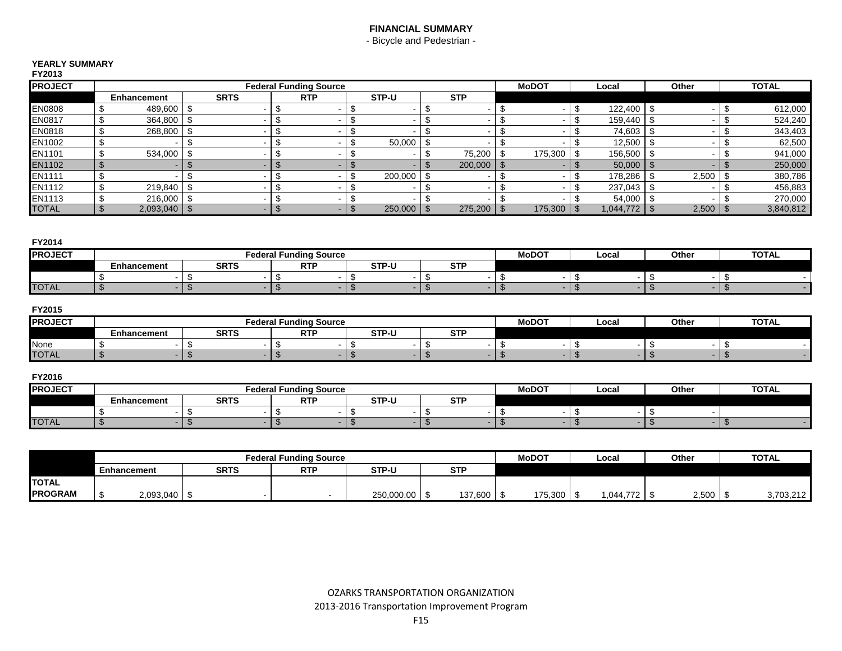# **FINANCIAL SUMMARY**

- Bicycle and Pedestrian -

#### **YEARLY SUMMARY**

| FY2013         |                                |             |                               |                           |            |                |                |                |                |       |            |     |              |
|----------------|--------------------------------|-------------|-------------------------------|---------------------------|------------|----------------|----------------|----------------|----------------|-------|------------|-----|--------------|
| <b>PROJECT</b> |                                |             | <b>Federal Funding Source</b> |                           |            |                |                |                | Local          | Other |            |     | <b>TOTAL</b> |
|                | Enhancement                    | <b>SRTS</b> | <b>RTP</b>                    | STP-U                     | <b>STP</b> |                |                |                |                |       |            |     |              |
| EN0808         | 489,600<br>\$                  | \$          |                               | \$                        |            |                |                | \$             | 122,400        | -\$   |            | \$  | 612,000      |
| EN0817         | \$<br>364,800                  | \$          |                               | \$                        |            | J.             |                | Ŝ.             | 159,440        | -\$   |            | \$  | 524,240      |
| EN0818         | \$<br>268,800                  | \$          |                               | \$                        |            |                | -              | S              | 74,603         | -\$   |            | \$  | 343,403      |
| EN1002         | \$                             |             |                               | \$<br>50,000              |            |                |                |                | 12,500         | -\$   |            | \$  | 62,500       |
| EN1101         | \$<br>534,000                  | \$          |                               | \$                        | 75,200     | \$             | 175,300        |                | 156,500        | -\$   |            | \$  | 941,000      |
| <b>EN1102</b>  | $\mathfrak{L}$                 | \$.         |                               | ۰.                        | 200,000    | $\mathfrak{S}$ |                | $\mathcal{L}$  | 50,000         | l \$  |            |     | 250,000      |
| EN1111         | \$<br>-                        | \$          |                               | 200,000<br>\$             |            |                | -              |                | 178,286        | -\$   | 2,500      | -\$ | 380,786      |
| EN1112         | \$<br>219,840                  | \$          |                               | \$                        |            |                |                |                | 237,043        | -\$   |            |     | 456,883      |
| EN1113         | \$<br>216,000                  | \$          |                               | S                         |            |                |                |                | 54,000         | -\$   |            |     | 270,000      |
| <b>TOTAL</b>   | $2,093,040$ \$<br>$\mathbb{S}$ |             | \$<br>$\blacksquare$          | $\mathfrak{L}$<br>250,000 | 275,200    | $\mathfrak{S}$ | 175,300        | $\mathfrak{L}$ | $1,044,772$ \$ |       | $2,500$ \$ |     | 3,840,812    |
|                |                                |             |                               |                           |            |                |                |                |                |       |            |     |              |
| FY2014         |                                |             |                               |                           |            |                |                |                |                |       |            |     |              |
| <b>PROJECT</b> |                                |             | <b>Federal Funding Source</b> |                           |            |                | <b>MoDOT</b>   |                | Local          |       | Other      |     | <b>TOTAL</b> |
|                | Enhancement                    | <b>SRTS</b> | <b>RTP</b>                    | STP-U                     | <b>STP</b> |                |                |                |                |       |            |     |              |
|                | \$<br>$\sim$                   | \$          | \$                            | \$                        | \$         | \$             | $\blacksquare$ | \$             | $\,$ $\,$      | \$    |            | \$  | $\sim$       |

#### **FY2015**

| <b>PROJECT</b> |                    |             | <b>Federal Funding Source</b> | <b>MoDOT</b> | Local           | Othe | <b>TOTAL</b> |  |  |
|----------------|--------------------|-------------|-------------------------------|--------------|-----------------|------|--------------|--|--|
|                | <b>Enhancement</b> | <b>SRTS</b> | <b>RTF</b>                    | STP-U        | $\sim$ TI<br>o. |      |              |  |  |
| None           |                    |             |                               |              |                 |      |              |  |  |
| <b>TOTAL</b>   |                    |             |                               |              |                 |      |              |  |  |

TOTAL \$ - \$ - \$ - \$ - \$ - \$ - \$ - \$ - \$ -

### **FY2016**

| <b>PROJECT</b> |             |             | Federal Funding Source | <b>MoDOT</b> | Local           | Other | <b>TOTAL</b> |  |  |
|----------------|-------------|-------------|------------------------|--------------|-----------------|-------|--------------|--|--|
|                | Enhancement | <b>SRTS</b> | <b>RTF</b>             | STP-U        | $\sim$ TE<br>o. |       |              |  |  |
|                |             |             |                        |              |                 |       |              |  |  |
| <b>TOTAL</b>   |             |             |                        |              |                 |       |              |  |  |

|                |             |           |             | <b>Federal Funding Source</b> | <b>MoDOT</b> | Local            | Other   | <b>TOTAL</b> |       |           |
|----------------|-------------|-----------|-------------|-------------------------------|--------------|------------------|---------|--------------|-------|-----------|
|                | Enhancement |           | <b>SRTS</b> | <b>RTP</b>                    | STP-U        | <b>CTD</b><br>JІ |         |              |       |           |
| <b>TOTAL</b>   |             |           |             |                               |              |                  |         |              |       |           |
| <b>PROGRAM</b> |             | 2,093,040 |             |                               | 250,000.00   | 137,600          | 175,300 | 1,044,772    | 2,500 | 3,703,212 |